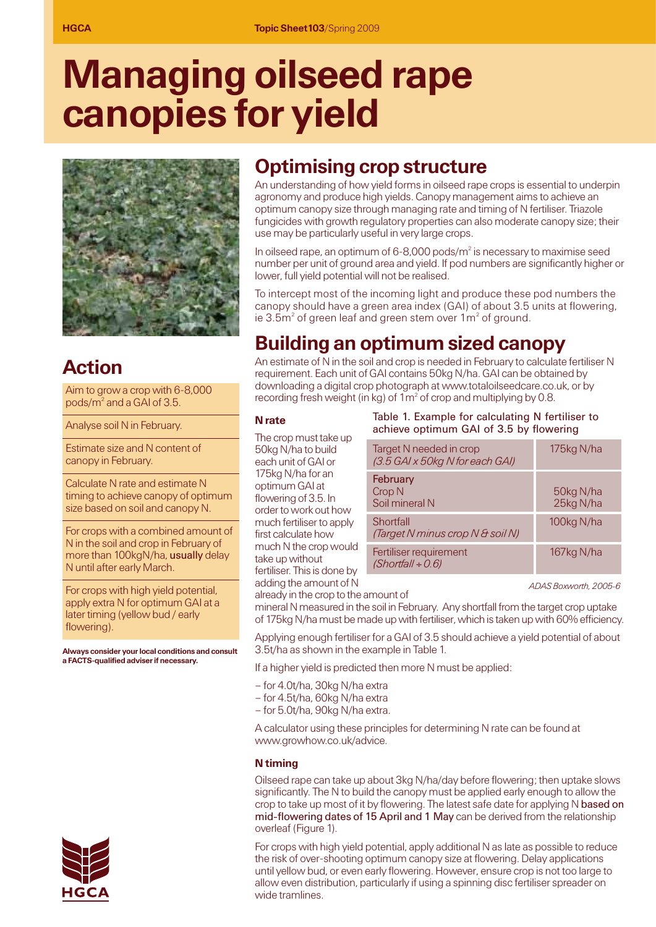# **Managing oilseed rape canopies for yield**



# **Action**

Aim to grow a crop with 6-8,000 pods/m2 and a GAI of 3.5.

Analyse soil N in February.

Estimate size and N content of canopy in February.

Calculate N rate and estimate N timing to achieve canopy of optimum size based on soil and canopy N.

For crops with a combined amount of N in the soil and crop in February of more than 100kgN/ha, usually delay N until after early March.

For crops with high yield potential, apply extra N for optimum GAI at a later timing (yellow bud / early flowering).

**Always consider your local conditions and consult a FACTS-qualified adviser if necessary.**



# **Optimising crop structure**

An understanding of how yield forms in oilseed rape crops is essential to underpin agronomy and produce high yields. Canopy management aims to achieve an optimum canopy size through managing rate and timing of N fertiliser. Triazole fungicides with growth regulatory properties can also moderate canopy size; their use may be particularly useful in very large crops.

In oilseed rape, an optimum of  $6$ -8,000 pods/ $m<sup>2</sup>$  is necessary to maximise seed number per unit of ground area and yield. If pod numbers are significantly higher or lower, full yield potential will not be realised.

To intercept most of the incoming light and produce these pod numbers the canopy should have a green area index (GAI) of about 3.5 units at flowering, ie  $3.5m<sup>2</sup>$  of green leaf and green stem over  $1m<sup>2</sup>$  of ground.

# **Building an optimum sized canopy**

An estimate of N in the soil and crop is needed in February to calculate fertiliser N requirement. Each unit of GAI contains 50kg N/ha. GAI can be obtained by downloading a digital crop photograph at www.totaloilseedcare.co.uk, or by recording fresh weight (in kg) of  $1m<sup>2</sup>$  of crop and multiplying by 0.8.

#### **N rate**

The crop must take up 50kg N/ha to build each unit of GAI or 175kg N/ha for an optimum GAI at flowering of 3.5. In order to work out how much fertiliser to apply first calculate how much N the crop would take up without fertiliser. This is done by adding the amount of N

#### Table 1. Example for calculating N fertiliser to achieve optimum GAI of 3.5 by flowering

| Target N needed in crop<br>(3.5 GAI x 50kg N for each GAI) | 175kg N/ha             |
|------------------------------------------------------------|------------------------|
| February<br>Crop <sub>N</sub><br>Soil mineral N            | 50kg N/ha<br>25kg N/ha |
| Shortfall<br>(Target N minus crop N & soil N)              | 100kg N/ha             |
| Fertiliser requirement<br>$(Shortfall \div 0.6)$           | 167kg N/ha             |

*ADAS Boxworth, 2005-6*

already in the crop to the amount of mineral N measured in the soil in February. Any shortfall from the target crop uptake of 175kg N/ha must be made up with fertiliser, which is taken up with 60% efficiency.

Applying enough fertiliser for a GAI of 3.5 should achieve a yield potential of about 3.5t/ha as shown in the example in Table 1.

If a higher yield is predicted then more N must be applied:

- for 4.0t/ha, 30kg N/ha extra
- for 4.5t/ha, 60kg N/ha extra
- for 5.0t/ha, 90kg N/ha extra.

A calculator using these principles for determining N rate can be found at www.growhow.co.uk/advice.

#### **N timing**

Oilseed rape can take up about 3kg N/ha/day before flowering; then uptake slows significantly. The N to build the canopy must be applied early enough to allow the crop to take up most of it by flowering. The latest safe date for applying N based on mid-flowering dates of 15 April and 1 May can be derived from the relationship overleaf (Figure 1).

For crops with high yield potential, apply additional N as late as possible to reduce the risk of over-shooting optimum canopy size at flowering. Delay applications until yellow bud, or even early flowering. However, ensure crop is not too large to allow even distribution, particularly if using a spinning disc fertiliser spreader on wide tramlines.